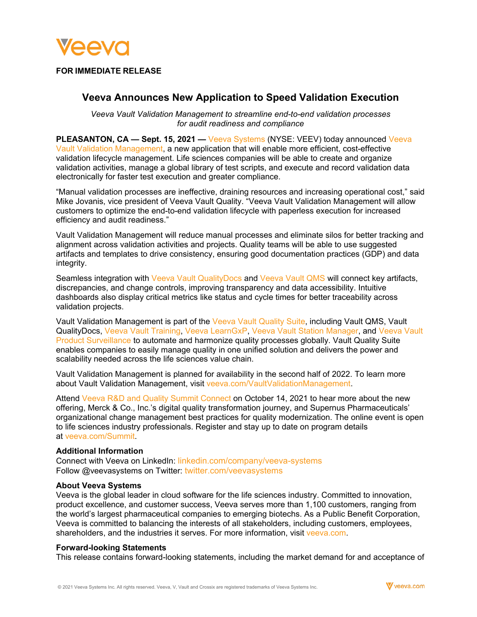

## **FOR IMMEDIATE RELEASE**

# **Veeva Announces New Application to Speed Validation Execution**

*Veeva Vault Validation Management to streamline end-to-end validation processes for audit readiness and compliance*

**PLEASANTON, CA — Sept. 15, 2021 — [Veeva Systems](https://www.veeva.com/) (NYSE: VEEV) today announced Veeva** [Vault Validation Management,](https://www.veeva.com/products/vault-validation-management/) a new application that will enable more efficient, cost-effective validation lifecycle management. Life sciences companies will be able to create and organize validation activities, manage a global library of test scripts, and execute and record validation data electronically for faster test execution and greater compliance.

"Manual validation processes are ineffective, draining resources and increasing operational cost," said Mike Jovanis, vice president of Veeva Vault Quality. "Veeva Vault Validation Management will allow customers to optimize the end-to-end validation lifecycle with paperless execution for increased efficiency and audit readiness."

Vault Validation Management will reduce manual processes and eliminate silos for better tracking and alignment across validation activities and projects. Quality teams will be able to use suggested artifacts and templates to drive consistency, ensuring good documentation practices (GDP) and data integrity.

Seamless integration with [Veeva Vault QualityDocs](https://www.veeva.com/products/vault-qualitydocs/) and [Veeva Vault QMS](https://www.veeva.com/products/vault-qms/) will connect key artifacts, discrepancies, and change controls, improving transparency and data accessibility. Intuitive dashboards also display critical metrics like status and cycle times for better traceability across validation projects.

Vault Validation Management is part of the [Veeva Vault Quality Suite,](https://www.veeva.com/products/vault-quality/) including Vault QMS, Vault QualityDocs, [Veeva Vault Training,](https://www.veeva.com/products/vault-training/) [Veeva LearnGxP,](https://learngxp.com/) [Veeva Vault Station Manager,](https://www.veeva.com/products/vault-station-manager/) and [Veeva Vault](https://www.veeva.com/products/vault-product-surveillance/)  [Product Surveillance](https://www.veeva.com/products/vault-product-surveillance/) to automate and harmonize quality processes globally. Vault Quality Suite enables companies to easily manage quality in one unified solution and delivers the power and scalability needed across the life sciences value chain.

Vault Validation Management is planned for availability in the second half of 2022. To learn more about Vault Validation Management, visit [veeva.com/VaultValidationManagement.](https://www.veeva.com/products/vault-validation-management/)

Attend [Veeva R&D and Quality Summit Connect](https://www.veeva.com/events/rd-summit/) on October 14, 2021 to hear more about the new offering, Merck & Co., Inc.'s digital quality transformation journey, and Supernus Pharmaceuticals' organizational change management best practices for quality modernization. The online event is open to life sciences industry professionals. Register and stay up to date on program details at [veeva.com/Summit.](https://www.veeva.com/events/rd-summit/)

#### **Additional Information**

Connect with Veeva on LinkedIn: [linkedin.com/company/veeva-systems](http://www.linkedin.com/company/veeva-systems) Follow @veevasystems on Twitter: [twitter.com/veevasystems](https://twitter.com/veevasystems)

#### **About Veeva Systems**

Veeva is the global leader in cloud software for the life sciences industry. Committed to innovation, product excellence, and customer success, Veeva serves more than 1,100 customers, ranging from the world's largest pharmaceutical companies to emerging biotechs. As a Public Benefit Corporation, Veeva is committed to balancing the interests of all stakeholders, including customers, employees, shareholders, and the industries it serves. For more information, visit [veeva.com.](http://veeva.com/)

### **Forward-looking Statements**

This release contains forward-looking statements, including the market demand for and acceptance of